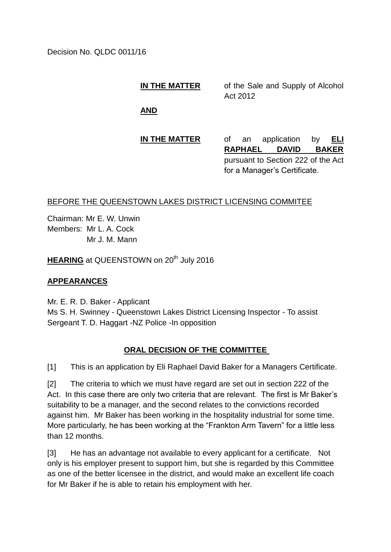Decision No. QLDC 0011/16

**IN THE MATTER** of the Sale and Supply of Alcohol Act 2012

**AND**

# **IN THE MATTER** of an application by **ELI**

**RAPHAEL DAVID BAKER** pursuant to Section 222 of the Act for a Manager's Certificate.

### BEFORE THE QUEENSTOWN LAKES DISTRICT LICENSING COMMITEE

Chairman: Mr E. W. Unwin Members: Mr L. A. Cock Mr J. M. Mann

**HEARING** at QUEENSTOWN on 20<sup>th</sup> July 2016

# **APPEARANCES**

Mr. E. R. D. Baker - Applicant Ms S. H. Swinney - Queenstown Lakes District Licensing Inspector - To assist Sergeant T. D. Haggart -NZ Police -In opposition

# **ORAL DECISION OF THE COMMITTEE**

[1] This is an application by Eli Raphael David Baker for a Managers Certificate.

[2] The criteria to which we must have regard are set out in section 222 of the Act. In this case there are only two criteria that are relevant. The first is Mr Baker's suitability to be a manager, and the second relates to the convictions recorded against him. Mr Baker has been working in the hospitality industrial for some time. More particularly, he has been working at the "Frankton Arm Tavern" for a little less than 12 months.

[3] He has an advantage not available to every applicant for a certificate. Not only is his employer present to support him, but she is regarded by this Committee as one of the better licensee in the district, and would make an excellent life coach for Mr Baker if he is able to retain his employment with her.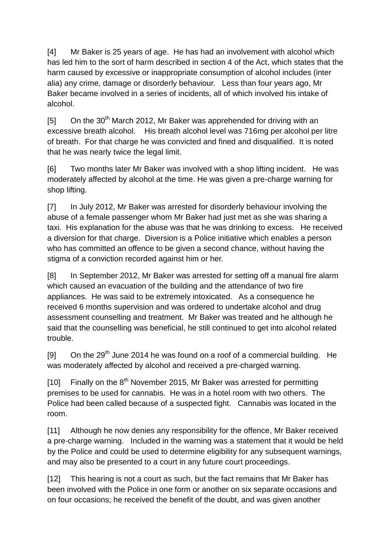[4] Mr Baker is 25 years of age. He has had an involvement with alcohol which has led him to the sort of harm described in section 4 of the Act, which states that the harm caused by excessive or inappropriate consumption of alcohol includes (inter alia) any crime, damage or disorderly behaviour. Less than four years ago, Mr Baker became involved in a series of incidents, all of which involved his intake of alcohol.

 $[5]$  On the 30<sup>th</sup> March 2012, Mr Baker was apprehended for driving with an excessive breath alcohol. His breath alcohol level was 716mg per alcohol per litre of breath. For that charge he was convicted and fined and disqualified. It is noted that he was nearly twice the legal limit.

[6] Two months later Mr Baker was involved with a shop lifting incident. He was moderately affected by alcohol at the time. He was given a pre-charge warning for shop lifting.

[7] In July 2012, Mr Baker was arrested for disorderly behaviour involving the abuse of a female passenger whom Mr Baker had just met as she was sharing a taxi. His explanation for the abuse was that he was drinking to excess. He received a diversion for that charge. Diversion is a Police initiative which enables a person who has committed an offence to be given a second chance, without having the stigma of a conviction recorded against him or her.

[8] In September 2012, Mr Baker was arrested for setting off a manual fire alarm which caused an evacuation of the building and the attendance of two fire appliances. He was said to be extremely intoxicated. As a consequence he received 6 months supervision and was ordered to undertake alcohol and drug assessment counselling and treatment. Mr Baker was treated and he although he said that the counselling was beneficial, he still continued to get into alcohol related trouble.

[9] On the  $29<sup>th</sup>$  June 2014 he was found on a roof of a commercial building. He was moderately affected by alcohol and received a pre-charged warning.

[10] Finally on the  $8<sup>th</sup>$  November 2015, Mr Baker was arrested for permitting premises to be used for cannabis. He was in a hotel room with two others. The Police had been called because of a suspected fight. Cannabis was located in the room.

[11] Although he now denies any responsibility for the offence, Mr Baker received a pre-charge warning. Included in the warning was a statement that it would be held by the Police and could be used to determine eligibility for any subsequent warnings, and may also be presented to a court in any future court proceedings.

[12] This hearing is not a court as such, but the fact remains that Mr Baker has been involved with the Police in one form or another on six separate occasions and on four occasions; he received the benefit of the doubt, and was given another